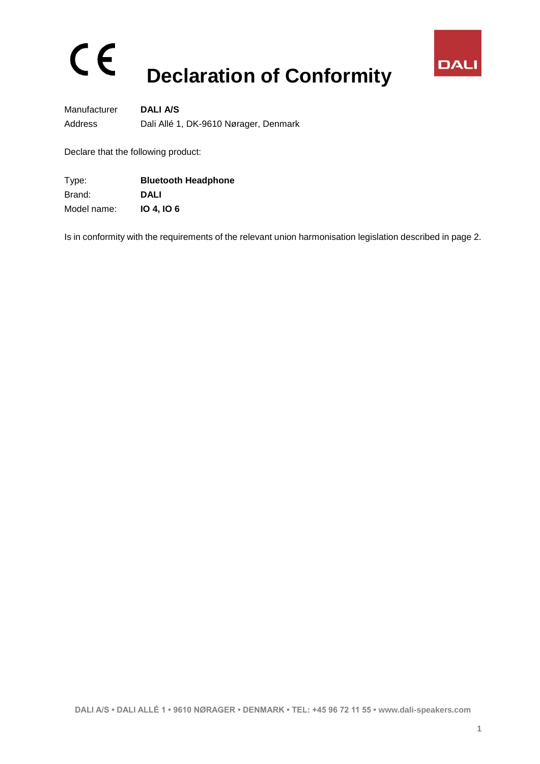## $C \in$ **Declaration of Conformity**



Manufacturer **DALI A/S** Address Dali Allé 1, DK-9610 Nørager, Denmark

Declare that the following product:

| Type:       | <b>Bluetooth Headphone</b> |
|-------------|----------------------------|
| Brand:      | <b>DALI</b>                |
| Model name: | <b>10 4, 10 6</b>          |

Is in conformity with the requirements of the relevant union harmonisation legislation described in page 2.